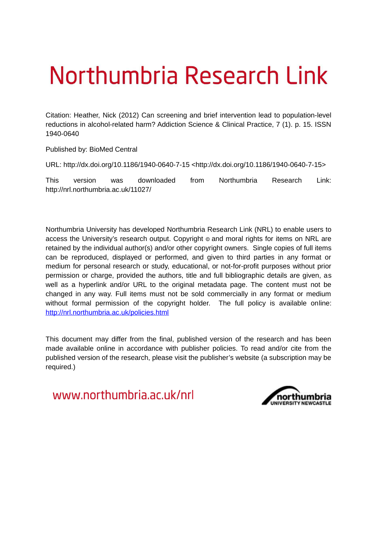# Northumbria Research Link

Citation: Heather, Nick (2012) Can screening and brief intervention lead to population-level reductions in alcohol-related harm? Addiction Science & Clinical Practice, 7 (1). p. 15. ISSN 1940-0640

Published by: BioMed Central

URL: http://dx.doi.org/10.1186/1940-0640-7-15 <http://dx.doi.org/10.1186/1940-0640-7-15>

This version was downloaded from Northumbria Research Link: http://nrl.northumbria.ac.uk/11027/

Northumbria University has developed Northumbria Research Link (NRL) to enable users to access the University's research output. Copyright  $\circ$  and moral rights for items on NRL are retained by the individual author(s) and/or other copyright owners. Single copies of full items can be reproduced, displayed or performed, and given to third parties in any format or medium for personal research or study, educational, or not-for-profit purposes without prior permission or charge, provided the authors, title and full bibliographic details are given, as well as a hyperlink and/or URL to the original metadata page. The content must not be changed in any way. Full items must not be sold commercially in any format or medium without formal permission of the copyright holder. The full policy is available online: <http://nrl.northumbria.ac.uk/policies.html>

This document may differ from the final, published version of the research and has been made available online in accordance with publisher policies. To read and/or cite from the published version of the research, please visit the publisher's website (a subscription may be required.)

www.northumbria.ac.uk/nrl

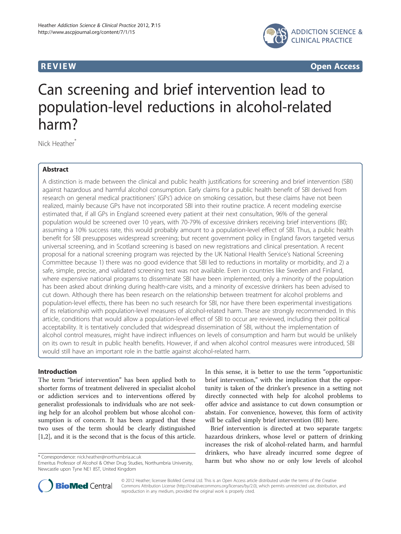

**REVIEW CONSTRUCTION CONSTRUCTION CONSTRUCTION CONSTRUCTS** 

## Can screening and brief intervention lead to population-level reductions in alcohol-related harm?

Nick Heather<sup>\*</sup>

### Abstract

A distinction is made between the clinical and public health justifications for screening and brief intervention (SBI) against hazardous and harmful alcohol consumption. Early claims for a public health benefit of SBI derived from research on general medical practitioners' (GPs') advice on smoking cessation, but these claims have not been realized, mainly because GPs have not incorporated SBI into their routine practice. A recent modeling exercise estimated that, if all GPs in England screened every patient at their next consultation, 96% of the general population would be screened over 10 years, with 70-79% of excessive drinkers receiving brief interventions (BI); assuming a 10% success rate, this would probably amount to a population-level effect of SBI. Thus, a public health benefit for SBI presupposes widespread screening; but recent government policy in England favors targeted versus universal screening, and in Scotland screening is based on new registrations and clinical presentation. A recent proposal for a national screening program was rejected by the UK National Health Service's National Screening Committee because 1) there was no good evidence that SBI led to reductions in mortality or morbidity, and 2) a safe, simple, precise, and validated screening test was not available. Even in countries like Sweden and Finland, where expensive national programs to disseminate SBI have been implemented, only a minority of the population has been asked about drinking during health-care visits, and a minority of excessive drinkers has been advised to cut down. Although there has been research on the relationship between treatment for alcohol problems and population-level effects, there has been no such research for SBI, nor have there been experimental investigations of its relationship with population-level measures of alcohol-related harm. These are strongly recommended. In this article, conditions that would allow a population-level effect of SBI to occur are reviewed, including their political acceptability. It is tentatively concluded that widespread dissemination of SBI, without the implementation of alcohol control measures, might have indirect influences on levels of consumption and harm but would be unlikely on its own to result in public health benefits. However, if and when alcohol control measures were introduced, SBI would still have an important role in the battle against alcohol-related harm.

#### Introduction

The term "brief intervention" has been applied both to shorter forms of treatment delivered in specialist alcohol or addiction services and to interventions offered by generalist professionals to individuals who are not seeking help for an alcohol problem but whose alcohol consumption is of concern. It has been argued that these two uses of the term should be clearly distinguished [[1,2\]](#page-12-0), and it is the second that is the focus of this article.

In this sense, it is better to use the term "opportunistic brief intervention," with the implication that the opportunity is taken of the drinker's presence in a setting not directly connected with help for alcohol problems to offer advice and assistance to cut down consumption or abstain. For convenience, however, this form of activity will be called simply brief intervention (BI) here.

Brief intervention is directed at two separate targets: hazardous drinkers, whose level or pattern of drinking increases the risk of alcohol-related harm, and harmful drinkers, who have already incurred some degree of \* Correspondence: [nick.heather@northumbria.ac.uk](mailto:nick.heather@northumbria.ac.uk)<br>Emeritus Professor of Alcohol & Other Drug Studies Northumbria University harm but who show no or only low levels of alcohol



© 2012 Heather; licensee BioMed Central Ltd. This is an Open Access article distributed under the terms of the Creative Commons Attribution License [\(http://creativecommons.org/licenses/by/2.0\)](http://creativecommons.org/licenses/by/2.0), which permits unrestricted use, distribution, and reproduction in any medium, provided the original work is properly cited.

Emeritus Professor of Alcohol & Other Drug Studies, Northumbria University, Newcastle upon Tyne NE1 8ST, United Kingdom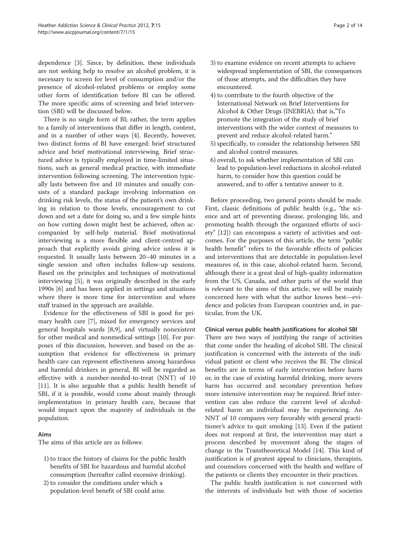dependence [[3\]](#page-12-0). Since, by definition, these individuals are not seeking help to resolve an alcohol problem, it is necessary to screen for level of consumption and/or the presence of alcohol-related problems or employ some other form of identification before BI can be offered. The more specific aims of screening and brief intervention (SBI) will be discussed below.

There is no single form of BI; rather, the term applies to a family of interventions that differ in length, content, and in a number of other ways [[4\]](#page-12-0). Recently, however, two distinct forms of BI have emerged: brief structured advice and brief motivational interviewing. Brief structured advice is typically employed in time-limited situations, such as general medical practice, with immediate intervention following screening. The intervention typically lasts between five and 10 minutes and usually consists of a standard package involving information on drinking risk levels, the status of the patient's own drinking in relation to those levels, encouragement to cut down and set a date for doing so, and a few simple hints on how cutting down might best be achieved, often accompanied by self-help material. Brief motivational interviewing is a more flexible and client-centred approach that explicitly avoids giving advice unless it is requested. It usually lasts between 20–40 minutes in a single session and often includes follow-up sessions. Based on the principles and techniques of motivational interviewing [\[5](#page-12-0)], it was originally described in the early 1990s [\[6](#page-12-0)] and has been applied in settings and situations where there is more time for intervention and where staff trained in the approach are available.

Evidence for the effectiveness of SBI is good for primary health care [[7\]](#page-12-0), mixed for emergency services and general hospitals wards [\[8,9](#page-12-0)], and virtually nonexistent for other medical and nonmedical settings [[10](#page-12-0)]. For purposes of this discussion, however, and based on the assumption that evidence for effectiveness in primary health care can represent effectiveness among hazardous and harmful drinkers in general, BI will be regarded as effective with a number-needed-to-treat (NNT) of 10 [[11\]](#page-12-0). It is also arguable that a public health benefit of SBI, if it is possible, would come about mainly through implementation in primary health care, because that would impact upon the majority of individuals in the population.

#### Aims

The aims of this article are as follows:

- 1) to trace the history of claims for the public health benefits of SBI for hazardous and harmful alcohol consumption (hereafter called excessive drinking).
- 2) to consider the conditions under which a population-level benefit of SBI could arise.
- 3) to examine evidence on recent attempts to achieve widespread implementation of SBI, the consequences of those attempts, and the difficulties they have encountered.
- 4) to contribute to the fourth objective of the International Network on Brief Interventions for Alcohol & Other Drugs (INEBRIA); that is,"To promote the integration of the study of brief interventions with the wider context of measures to prevent and reduce alcohol-related harm."
- 5) specifically, to consider the relationship between SBI and alcohol control measures.
- 6) overall, to ask whether implementation of SBI can lead to population-level reductions in alcohol-related harm, to consider how this question could be answered, and to offer a tentative answer to it.

Before proceeding, two general points should be made. First, classic definitions of public health (e.g., "the science and art of preventing disease, prolonging life, and promoting health through the organized efforts of society" [[12\]](#page-12-0)) can encompass a variety of activities and outcomes. For the purposes of this article, the term "public health benefit" refers to the favorable effects of policies and interventions that are detectable in population-level measures of, in this case, alcohol-related harm. Second, although there is a great deal of high-quality information from the US, Canada, and other parts of the world that is relevant to the aims of this article, we will be mainly concerned here with what the author knows best—evidence and policies from European countries and, in particular, from the UK.

#### Clinical versus public health justifications for alcohol SBI

There are two ways of justifying the range of activities that come under the heading of alcohol SBI. The clinical justification is concerned with the interests of the individual patient or client who receives the BI. The clinical benefits are in terms of early intervention before harm or, in the case of existing harmful drinking, more severe harm has occurred and secondary prevention before more intensive intervention may be required. Brief intervention can also reduce the current level of alcoholrelated harm an individual may be experiencing. An NNT of 10 compares very favorably with general practitioner's advice to quit smoking [[13\]](#page-12-0). Even if the patient does not respond at first, the intervention may start a process described by movement along the stages of change in the Transtheoretical Model [\[14](#page-12-0)]. This kind of justification is of greatest appeal to clinicians, therapists, and counselors concerned with the health and welfare of the patients or clients they encounter in their practices.

The public health justification is not concerned with the interests of individuals but with those of societies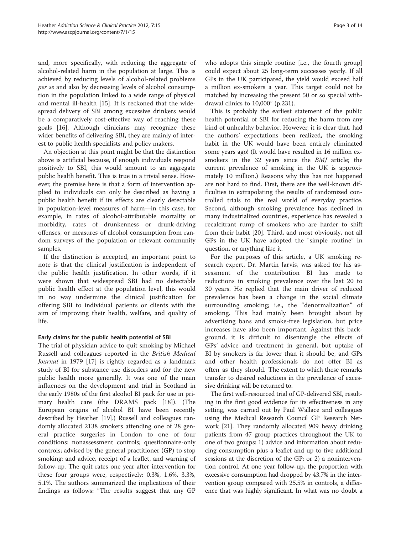<span id="page-3-0"></span>and, more specifically, with reducing the aggregate of alcohol-related harm in the population at large. This is achieved by reducing levels of alcohol-related problems per se and also by decreasing levels of alcohol consumption in the population linked to a wide range of physical and mental ill-health [[15\]](#page-12-0). It is reckoned that the widespread delivery of SBI among excessive drinkers would be a comparatively cost-effective way of reaching these goals [\[16](#page-12-0)]. Although clinicians may recognize these wider benefits of delivering SBI, they are mainly of interest to public health specialists and policy makers.

An objection at this point might be that the distinction above is artificial because, if enough individuals respond positively to SBI, this would amount to an aggregate public health benefit. This is true in a trivial sense. However, the premise here is that a form of intervention applied to individuals can only be described as having a public health benefit if its effects are clearly detectable in population-level measures of harm—in this case, for example, in rates of alcohol-attributable mortality or morbidity, rates of drunkenness or drunk-driving offenses, or measures of alcohol consumption from random surveys of the population or relevant community samples.

If the distinction is accepted, an important point to note is that the clinical justification is independent of the public health justification. In other words, if it were shown that widespread SBI had no detectable public health effect at the population level, this would in no way undermine the clinical justification for offering SBI to individual patients or clients with the aim of improving their health, welfare, and quality of life.

#### Early claims for the public health potential of SBI

The trial of physician advice to quit smoking by Michael Russell and colleagues reported in the British Medical Journal in 1979 [[17\]](#page-12-0) is rightly regarded as a landmark study of BI for substance use disorders and for the new public health more generally. It was one of the main influences on the development and trial in Scotland in the early 1980s of the first alcohol BI pack for use in primary health care (the DRAMS pack [\[18\]](#page-12-0)). (The European origins of alcohol BI have been recently described by Heather [[19](#page-12-0)].) Russell and colleagues randomly allocated 2138 smokers attending one of 28 general practice surgeries in London to one of four conditions: nonassessment controls; questionnaire-only controls; advised by the general practitioner (GP) to stop smoking; and advice, receipt of a leaflet, and warning of follow-up. The quit rates one year after intervention for these four groups were, respectively: 0.3%, 1.6%, 3.3%, 5.1%. The authors summarized the implications of their findings as follows: "The results suggest that any GP who adopts this simple routine [i.e., the fourth group] could expect about 25 long-term successes yearly. If all GPs in the UK participated, the yield would exceed half a million ex-smokers a year. This target could not be matched by increasing the present 50 or so special withdrawal clinics to 10,000" (p.231).

This is probably the earliest statement of the public health potential of SBI for reducing the harm from any kind of unhealthy behavior. However, it is clear that, had the authors' expectations been realized, the smoking habit in the UK would have been entirely eliminated some years ago! (It would have resulted in 16 million exsmokers in the 32 years since the BMJ article; the current prevalence of smoking in the UK is approximately 10 million.) Reasons why this has not happened are not hard to find. First, there are the well-known difficulties in extrapolating the results of randomized controlled trials to the real world of everyday practice. Second, although smoking prevalence has declined in many industrialized countries, experience has revealed a recalcitrant rump of smokers who are harder to shift from their habit [[20\]](#page-12-0). Third, and most obviously, not all GPs in the UK have adopted the "simple routine" in question, or anything like it.

For the purposes of this article, a UK smoking research expert, Dr. Martin Jarvis, was asked for his assessment of the contribution BI has made to reductions in smoking prevalence over the last 20 to 30 years. He replied that the main driver of reduced prevalence has been a change in the social climate surrounding smoking; i.e., the "denormalization" of smoking. This had mainly been brought about by advertising bans and smoke-free legislation, but price increases have also been important. Against this background, it is difficult to disentangle the effects of GPs' advice and treatment in general, but uptake of BI by smokers is far lower than it should be, and GPs and other health professionals do not offer BI as often as they should. The extent to which these remarks transfer to desired reductions in the prevalence of excessive drinking will be returned to.

The first well-resourced trial of GP-delivered SBI, resulting in the first good evidence for its effectiveness in any setting, was carried out by Paul Wallace and colleagues using the Medical Research Council GP Research Network [\[21](#page-12-0)]. They randomly allocated 909 heavy drinking patients from 47 group practices throughout the UK to one of two groups: 1) advice and information about reducing consumption plus a leaflet and up to five additional sessions at the discretion of the GP; or 2) a nonintervention control. At one year follow-up, the proportion with excessive consumption had dropped by 43.7% in the intervention group compared with 25.5% in controls, a difference that was highly significant. In what was no doubt a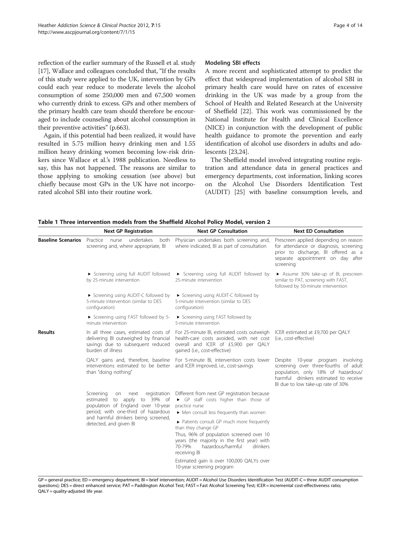reflection of the earlier summary of the Russell et al. study [[17](#page-12-0)], Wallace and colleagues concluded that, "If the results" of this study were applied to the UK, intervention by GPs could each year reduce to moderate levels the alcohol consumption of some 250,000 men and 67,500 women who currently drink to excess. GPs and other members of the primary health care team should therefore be encouraged to include counseling about alcohol consumption in their preventive activities" (p.663).

Again, if this potential had been realized, it would have resulted in 5.75 million heavy drinking men and 1.55 million heavy drinking women becoming low-risk drinkers since Wallace et al.'s 1988 publication. Needless to say, this has not happened. The reasons are similar to those applying to smoking cessation (see above) but chiefly because most GPs in the UK have not incorporated alcohol SBI into their routine work.

#### Modeling SBI effects

A more recent and sophisticated attempt to predict the effect that widespread implementation of alcohol SBI in primary health care would have on rates of excessive drinking in the UK was made by a group from the School of Health and Related Research at the University of Sheffield [\[22](#page-12-0)]. This work was commissioned by the National Institute for Health and Clinical Excellence (NICE) in conjunction with the development of public health guidance to promote the prevention and early identification of alcohol use disorders in adults and adolescents [[23,24\]](#page-12-0).

The Sheffield model involved integrating routine registration and attendance data in general practices and emergency departments, cost information, linking scores on the Alcohol Use Disorders Identification Test (AUDIT) [\[25](#page-13-0)] with baseline consumption levels, and

| Table 1 Three intervention models from the Sheffield Alcohol Policy Model, version 2 |  |
|--------------------------------------------------------------------------------------|--|
|--------------------------------------------------------------------------------------|--|

|                                          | <b>Next GP Registration</b>                                                                                                                                                                                            | <b>Next GP Consultation</b>                                                                                                                                                                                                                                        | <b>Next ED Consultation</b>                                                                                                                                                                    |
|------------------------------------------|------------------------------------------------------------------------------------------------------------------------------------------------------------------------------------------------------------------------|--------------------------------------------------------------------------------------------------------------------------------------------------------------------------------------------------------------------------------------------------------------------|------------------------------------------------------------------------------------------------------------------------------------------------------------------------------------------------|
| <b>Baseline Scenarios</b> Practice nurse | undertakes<br>both<br>screening and, where appropriate, BI                                                                                                                                                             | Physician undertakes both screening and,<br>where indicated, BI as part of consultation                                                                                                                                                                            | Prescreen applied depending on reason<br>for attendance or diagnosis, screening<br>prior to discharge, BI offered as a<br>separate appointment on day after<br>screening                       |
|                                          | Screening using full AUDIT followed<br>by 25-minute intervention                                                                                                                                                       | Screening using full AUDIT followed by<br>25-minute intervention                                                                                                                                                                                                   | > Assume 30% take-up of BI, prescreen<br>similar to PAT, screening with FAST,<br>followed by 50-minute intervention                                                                            |
|                                          | Screening using AUDIT-C followed by<br>5-minute intervention (similar to DES<br>configuration)                                                                                                                         | Screening using AUDIT-C followed by<br>5-minute intervention (similar to DES<br>configuration)                                                                                                                                                                     |                                                                                                                                                                                                |
|                                          | Screening using FAST followed by 5-<br>minute intervention                                                                                                                                                             | Screening using FAST followed by<br>5-minute intervention                                                                                                                                                                                                          |                                                                                                                                                                                                |
| <b>Results</b>                           | delivering BI outweighed by financial<br>savings due to subsequent reduced<br>burden of illness                                                                                                                        | In all three cases, estimated costs of For 25-minute BI, estimated costs outweigh ICER estimated at £9,700 per QALY<br>health-care costs avoided, with net cost<br>overall and ICER of £5,900 per QALY<br>gained (i.e., cost-effective)                            | (i.e., cost-effective)                                                                                                                                                                         |
|                                          | interventions estimated to be better and ICER improved, i.e., cost-savings<br>than "doing nothing"                                                                                                                     | QALY gains and, therefore, baseline For 5-minute BI, intervention costs lower                                                                                                                                                                                      | Despite 10-year program involving<br>screening over three-fourths of adult<br>population, only 18% of hazardous/<br>harmful drinkers estimated to receive<br>BI due to low take-up rate of 30% |
|                                          | Screening<br>registration<br>on<br>next<br>estimated to apply to 39% of<br>population of England over 10-year<br>period, with one-third of hazardous<br>and harmful drinkers being screened,<br>detected, and given BI | Different from next GP registration because<br>GP staff costs higher than those of<br>practice nurse<br>• Men consult less frequently than women                                                                                                                   |                                                                                                                                                                                                |
|                                          |                                                                                                                                                                                                                        | Patients consult GP much more frequently<br>than they change GP<br>Thus, 96% of population screened over 10<br>years (the majority in the first year) with<br>70-79%<br>hazardous/harmful<br>drinkers<br>receiving BI<br>Estimated gain is over 100,000 QALYs over |                                                                                                                                                                                                |
|                                          |                                                                                                                                                                                                                        | 10-year screening program                                                                                                                                                                                                                                          |                                                                                                                                                                                                |

GP = general practice; ED = emergency department; BI = brief intervention; AUDIT = Alcohol Use Disorders Identification Test (AUDIT-C = three AUDIT consumption questions); DES = direct enhanced service; PAT = Paddington Alcohol Test; FAST = Fast Alcohol Screening Test; ICER = incremental cost-effectiveness ratio; QALY = quality-adjusted life year.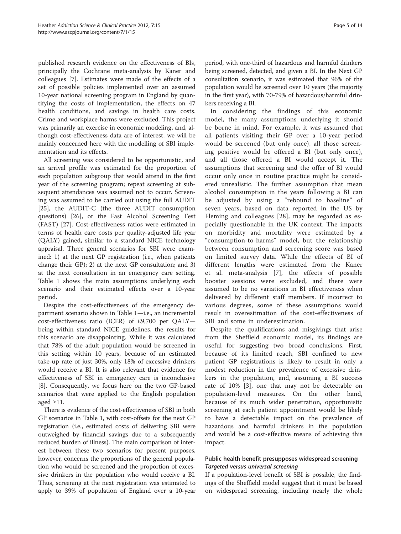<span id="page-5-0"></span>published research evidence on the effectiveness of BIs, principally the Cochrane meta-analysis by Kaner and colleagues [[7\]](#page-12-0). Estimates were made of the effects of a set of possible policies implemented over an assumed 10-year national screening program in England by quantifying the costs of implementation, the effects on 47 health conditions, and savings in health care costs. Crime and workplace harms were excluded. This project was primarily an exercise in economic modeling, and, although cost-effectiveness data are of interest, we will be mainly concerned here with the modelling of SBI implementation and its effects.

All screening was considered to be opportunistic, and an arrival profile was estimated for the proportion of each population subgroup that would attend in the first year of the screening program; repeat screening at subsequent attendances was assumed not to occur. Screening was assumed to be carried out using the full AUDIT [[25\]](#page-13-0), the AUDIT-C (the three AUDIT consumption questions) [\[26](#page-13-0)], or the Fast Alcohol Screening Test (FAST) [[27](#page-13-0)]. Cost-effectiveness ratios were estimated in terms of health care costs per quality-adjusted life year (QALY) gained, similar to a standard NICE technology appraisal. Three general scenarios for SBI were examined: 1) at the next GP registration (i.e., when patients change their GP); 2) at the next GP consultation; and 3) at the next consultation in an emergency care setting. Table [1](#page-3-0) shows the main assumptions underlying each scenario and their estimated effects over a 10-year period.

Despite the cost-effectiveness of the emergency department scenario shown in Table [1](#page-3-0)—i.e., an incremental cost-effectiveness ratio (ICER) of £9,700 per QALY being within standard NICE guidelines, the results for this scenario are disappointing. While it was calculated that 78% of the adult population would be screened in this setting within 10 years, because of an estimated take-up rate of just 30%, only 18% of excessive drinkers would receive a BI. It is also relevant that evidence for effectiveness of SBI in emergency care is inconclusive [[8\]](#page-12-0). Consequently, we focus here on the two GP-based scenarios that were applied to the English population aged ≥11.

There is evidence of the cost-effectiveness of SBI in both GP scenarios in Table [1,](#page-3-0) with cost-offsets for the next GP registration (i.e., estimated costs of delivering SBI were outweighed by financial savings due to a subsequently reduced burden of illness). The main comparison of interest between these two scenarios for present purposes, however, concerns the proportions of the general population who would be screened and the proportion of excessive drinkers in the population who would receive a BI. Thus, screening at the next registration was estimated to apply to 39% of population of England over a 10-year

period, with one-third of hazardous and harmful drinkers being screened, detected, and given a BI. In the Next GP consultation scenario, it was estimated that 96% of the population would be screened over 10 years (the majority in the first year), with 70-79% of hazardous/harmful drinkers receiving a BI.

In considering the findings of this economic model, the many assumptions underlying it should be borne in mind. For example, it was assumed that all patients visiting their GP over a 10-year period would be screened (but only once), all those screening positive would be offered a BI (but only once), and all those offered a BI would accept it. The assumptions that screening and the offer of BI would occur only once in routine practice might be considered unrealistic. The further assumption that mean alcohol consumption in the years following a BI can be adjusted by using a "rebound to baseline" of seven years, based on data reported in the US by Fleming and colleagues [[28](#page-13-0)], may be regarded as especially questionable in the UK context. The impacts on morbidity and mortality were estimated by a "consumption-to-harms" model, but the relationship between consumption and screening score was based on limited survey data. While the effects of BI of different lengths were estimated from the Kaner et al. meta-analysis [[7\]](#page-12-0), the effects of possible booster sessions were excluded, and there were assumed to be no variations in BI effectiveness when delivered by different staff members. If incorrect to various degrees, some of these assumptions would result in overestimation of the cost-effectiveness of SBI and some in underestimation.

Despite the qualifications and misgivings that arise from the Sheffield economic model, its findings are useful for suggesting two broad conclusions. First, because of its limited reach, SBI confined to new patient GP registrations is likely to result in only a modest reduction in the prevalence of excessive drinkers in the population, and, assuming a BI success rate of 10% [\[3](#page-12-0)], one that may not be detectable on population-level measures. On the other hand, because of its much wider penetration, opportunistic screening at each patient appointment would be likely to have a detectable impact on the prevalence of hazardous and harmful drinkers in the population and would be a cost-effective means of achieving this impact.

#### Public health benefit presupposes widespread screening Targeted versus universal screening

If a population-level benefit of SBI is possible, the findings of the Sheffield model suggest that it must be based on widespread screening, including nearly the whole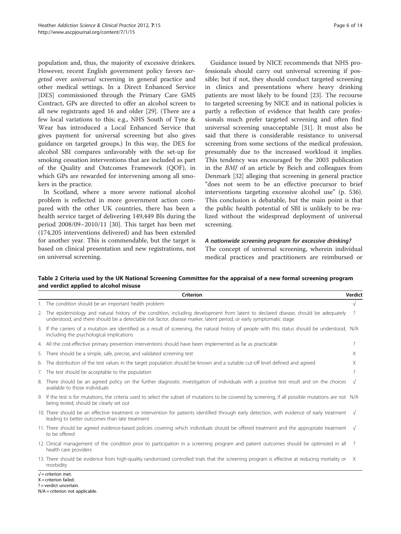population and, thus, the majority of excessive drinkers. However, recent English government policy favors targeted over universal screening in general practice and other medical settings. In a Direct Enhanced Service [DES] commissioned through the Primary Care GMS Contract, GPs are directed to offer an alcohol screen to all new registrants aged 16 and older [[29\]](#page-13-0). (There are a few local variations to this; e.g., NHS South of Tyne & Wear has introduced a Local Enhanced Service that gives payment for universal screening but also gives guidance on targeted groups.) In this way, the DES for alcohol SBI compares unfavorably with the set-up for smoking cessation interventions that are included as part of the Quality and Outcomes Framework (QOF), in which GPs are rewarded for intervening among all smokers in the practice.

In Scotland, where a more severe national alcohol problem is reflected in more government action compared with the other UK countries, there has been a health service target of delivering 149,449 BIs during the period 2008/09–2010/11 [[30\]](#page-13-0). This target has been met (174,205 interventions delivered) and has been extended for another year. This is commendable, but the target is based on clinical presentation and new registrations, not on universal screening.

Guidance issued by NICE recommends that NHS professionals should carry out universal screening if possible; but if not, they should conduct targeted screening in clinics and presentations where heavy drinking patients are most likely to be found [\[23](#page-12-0)]. The recourse to targeted screening by NICE and in national policies is partly a reflection of evidence that health care professionals much prefer targeted screening and often find universal screening unacceptable [\[31](#page-13-0)]. It must also be said that there is considerable resistance to universal screening from some sections of the medical profession, presumably due to the increased workload it implies. This tendency was encouraged by the 2003 publication in the BMJ of an article by Beich and colleagues from Denmark [\[32](#page-13-0)] alleging that screening in general practice "does not seem to be an effective precursor to brief interventions targeting excessive alcohol use" (p. 536). This conclusion is debatable, but the main point is that the public health potential of SBI is unlikely to be realized without the widespread deployment of universal screening.

#### A nationwide screening program for excessive drinking?

The concept of universal screening, wherein individual medical practices and practitioners are reimbursed or

#### Table 2 Criteria used by the UK National Screening Committee for the appraisal of a new formal screening program and verdict applied to alcohol misuse

| Criterion                                                                                                                                                                                                                                                    | <b>Verdict</b>           |
|--------------------------------------------------------------------------------------------------------------------------------------------------------------------------------------------------------------------------------------------------------------|--------------------------|
| 1. The condition should be an important health problem                                                                                                                                                                                                       |                          |
| 2. The epidemiology and natural history of the condition, including development from latent to declared disease, should be adequately<br>understood, and there should be a detectable risk factor, disease marker, latent period, or early symptomatic stage |                          |
| 3. If the carriers of a mutation are identified as a result of screening, the natural history of people with this status should be understood, N/A<br>including the psychological implications                                                               |                          |
| 4. All the cost-effective primary prevention interventions should have been implemented as far as practicable                                                                                                                                                | ?                        |
| 5. There should be a simple, safe, precise, and validated screening test                                                                                                                                                                                     | X                        |
| 6. The distribution of the test values in the target population should be known and a suitable cut-off level defined and agreed                                                                                                                              | X                        |
| 7. The test should be acceptable to the population                                                                                                                                                                                                           | $\overline{\phantom{0}}$ |
| 8. There should be an agreed policy on the further diagnostic investigation of individuals with a positive test result and on the choices<br>available to those individuals                                                                                  | $\sqrt{ }$               |
| 9. If the test is for mutations, the criteria used to select the subset of mutations to be covered by screening, if all possible mutations are not N/A<br>being tested, should be clearly set out                                                            |                          |
| 10. There should be an effective treatment or intervention for patients identified through early detection, with evidence of early treatment $\sqrt$<br>leading to better outcomes than late treatment                                                       |                          |
| 11. There should be agreed evidence-based policies covering which individuals should be offered treatment and the appropriate treatment $\sqrt{}$<br>to be offered                                                                                           |                          |
| 12. Clinical management of the condition prior to participation in a screening program and patient outcomes should be optimized in all<br>health care providers                                                                                              | $\overline{\phantom{a}}$ |
| 13. There should be evidence from high-quality randomized controlled trials that the screening program is effective at reducing mortality or X<br>morbidity                                                                                                  |                          |
| $\sqrt{\ }$ = criterion met.                                                                                                                                                                                                                                 |                          |

 $X =$  criterion failed.

? = verdict uncertain.

N/A = criterion not applicable.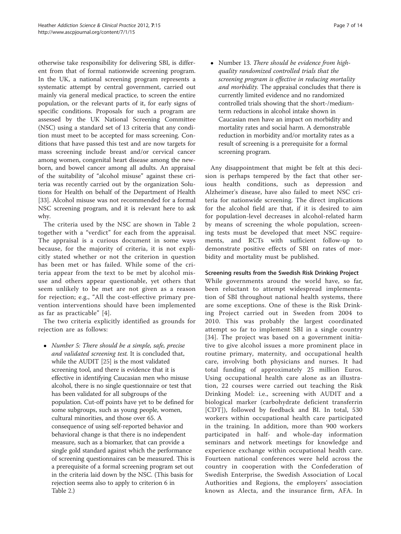otherwise take responsibility for delivering SBI, is different from that of formal nationwide screening program. In the UK, a national screening program represents a systematic attempt by central government, carried out mainly via general medical practice, to screen the entire population, or the relevant parts of it, for early signs of specific conditions. Proposals for such a program are assessed by the UK National Screening Committee (NSC) using a standard set of 13 criteria that any condition must meet to be accepted for mass screening. Conditions that have passed this test and are now targets for mass screening include breast and/or cervical cancer among women, congenital heart disease among the newborn, and bowel cancer among all adults. An appraisal of the suitability of "alcohol misuse" against these criteria was recently carried out by the organization Solutions for Health on behalf of the Department of Health [[33\]](#page-13-0). Alcohol misuse was not recommended for a formal NSC screening program, and it is relevant here to ask why.

The criteria used by the NSC are shown in Table [2](#page-5-0) together with a "verdict" for each from the appraisal. The appraisal is a curious document in some ways because, for the majority of criteria, it is not explicitly stated whether or not the criterion in question has been met or has failed. While some of the criteria appear from the text to be met by alcohol misuse and others appear questionable, yet others that seem unlikely to be met are not given as a reason for rejection; e.g., "All the cost-effective primary prevention interventions should have been implemented as far as practicable" [[4\]](#page-12-0).

The two criteria explicitly identified as grounds for rejection are as follows:

 *Number 5: There should be a simple, safe, precise and validated screening test.* It is concluded that, while the AUDIT [\[25\]](#page-13-0) is the most validated screening tool, and there is evidence that it is effective in identifying Caucasian men who misuse alcohol, there is no single questionnaire or test that has been validated for all subgroups of the population. Cut-off points have yet to be defined for some subgroups, such as young people, women, cultural minorities, and those over 65. A consequence of using self-reported behavior and behavioral change is that there is no independent measure, such as a biomarker, that can provide a single gold standard against which the performance of screening questionnaires can be measured. This is a prerequisite of a formal screening program set out in the criteria laid down by the NSC. (This basis for rejection seems also to apply to criterion 6 in Table [2](#page-5-0).)

 Number 13. *There should be evidence from highquality randomized controlled trials that the screening program is effective in reducing mortality and morbidity.* The appraisal concludes that there is currently limited evidence and no randomized controlled trials showing that the short-/mediumterm reductions in alcohol intake shown in Caucasian men have an impact on morbidity and mortality rates and social harm. A demonstrable reduction in morbidity and/or mortality rates as a result of screening is a prerequisite for a formal screening program.

Any disappointment that might be felt at this decision is perhaps tempered by the fact that other serious health conditions, such as depression and Alzheimer's disease, have also failed to meet NSC criteria for nationwide screening. The direct implications for the alcohol field are that, if it is desired to aim for population-level decreases in alcohol-related harm by means of screening the whole population, screening tests must be developed that meet NSC requirements, and RCTs with sufficient follow-up to demonstrate positive effects of SBI on rates of morbidity and mortality must be published.

#### Screening results from the Swedish Risk Drinking Project

While governments around the world have, so far, been reluctant to attempt widespread implementation of SBI throughout national health systems, there are some exceptions. One of these is the Risk Drinking Project carried out in Sweden from 2004 to 2010. This was probably the largest coordinated attempt so far to implement SBI in a single country [[34](#page-13-0)]. The project was based on a government initiative to give alcohol issues a more prominent place in routine primary, maternity, and occupational health care, involving both physicians and nurses. It had total funding of approximately 25 million Euros. Using occupational health care alone as an illustration, 22 courses were carried out teaching the Risk Drinking Model: i.e., screening with AUDIT and a biological marker (carbohydrate deficient transferrin [CDT]), followed by feedback and BI. In total, 530 workers within occupational health care participated in the training. In addition, more than 900 workers participated in half- and whole-day information seminars and network meetings for knowledge and experience exchange within occupational health care. Fourteen national conferences were held across the country in cooperation with the Confederation of Swedish Enterprise, the Swedish Association of Local Authorities and Regions, the employers' association known as Alecta, and the insurance firm, AFA. In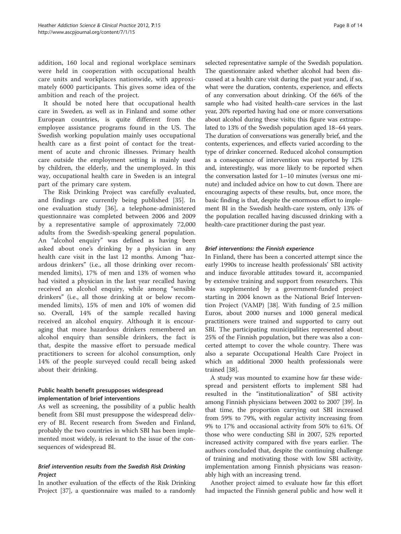addition, 160 local and regional workplace seminars were held in cooperation with occupational health care units and workplaces nationwide, with approximately 6000 participants. This gives some idea of the ambition and reach of the project.

It should be noted here that occupational health care in Sweden, as well as in Finland and some other European countries, is quite different from the employee assistance programs found in the US. The Swedish working population mainly uses occupational health care as a first point of contact for the treatment of acute and chronic illnesses. Primary health care outside the employment setting is mainly used by children, the elderly, and the unemployed. In this way, occupational health care in Sweden is an integral part of the primary care system.

The Risk Drinking Project was carefully evaluated, and findings are currently being published [[35\]](#page-13-0). In one evaluation study [\[36](#page-13-0)], a telephone-administered questionnaire was completed between 2006 and 2009 by a representative sample of approximately 72,000 adults from the Swedish-speaking general population. An "alcohol enquiry" was defined as having been asked about one's drinking by a physician in any health care visit in the last 12 months. Among "hazardous drinkers" (i.e., all those drinking over recommended limits), 17% of men and 13% of women who had visited a physician in the last year recalled having received an alcohol enquiry, while among "sensible drinkers" (i.e., all those drinking at or below recommended limits), 15% of men and 10% of women did so. Overall, 14% of the sample recalled having received an alcohol enquiry. Although it is encouraging that more hazardous drinkers remembered an alcohol enquiry than sensible drinkers, the fact is that, despite the massive effort to persuade medical practitioners to screen for alcohol consumption, only 14% of the people surveyed could recall being asked about their drinking.

#### Public health benefit presupposes widespread implementation of brief interventions

As well as screening, the possibility of a public health benefit from SBI must presuppose the widespread delivery of BI. Recent research from Sweden and Finland, probably the two countries in which SBI has been implemented most widely, is relevant to the issue of the consequences of widespread BI.

### Brief intervention results from the Swedish Risk Drinking Project

In another evaluation of the effects of the Risk Drinking Project [[37](#page-13-0)], a questionnaire was mailed to a randomly selected representative sample of the Swedish population. The questionnaire asked whether alcohol had been discussed at a health care visit during the past year and, if so, what were the duration, contents, experience, and effects of any conversation about drinking. Of the 66% of the sample who had visited health-care services in the last year, 20% reported having had one or more conversations about alcohol during these visits; this figure was extrapolated to 13% of the Swedish population aged 18–64 years. The duration of conversations was generally brief, and the contents, experiences, and effects varied according to the type of drinker concerned. Reduced alcohol consumption as a consequence of intervention was reported by 12% and, interestingly, was more likely to be reported when the conversation lasted for 1–10 minutes (versus one minute) and included advice on how to cut down. There are encouraging aspects of these results, but, once more, the basic finding is that, despite the enormous effort to implement BI in the Swedish health-care system, only 13% of the population recalled having discussed drinking with a health-care practitioner during the past year.

#### Brief interventions: the Finnish experience

In Finland, there has been a concerted attempt since the early 1990s to increase health professionals' SBI activity and induce favorable attitudes toward it, accompanied by extensive training and support from researchers. This was supplemented by a government-funded project starting in 2004 known as the National Brief Intervention Project (VAMP) [\[38](#page-13-0)]. With funding of 2.5 million Euros, about 2000 nurses and 1000 general medical practitioners were trained and supported to carry out SBI. The participating municipalities represented about 25% of the Finnish population, but there was also a concerted attempt to cover the whole country. There was also a separate Occupational Health Care Project in which an additional 2000 health professionals were trained [[38\]](#page-13-0).

A study was mounted to examine how far these widespread and persistent efforts to implement SBI had resulted in the "institutionalization" of SBI activity among Finnish physicians between 2002 to 2007 [[39](#page-13-0)]. In that time, the proportion carrying out SBI increased from 59% to 79%, with regular activity increasing from 9% to 17% and occasional activity from 50% to 61%. Of those who were conducting SBI in 2007, 52% reported increased activity compared with five years earlier. The authors concluded that, despite the continuing challenge of training and motivating those with low SBI activity, implementation among Finnish physicians was reasonably high with an increasing trend.

Another project aimed to evaluate how far this effort had impacted the Finnish general public and how well it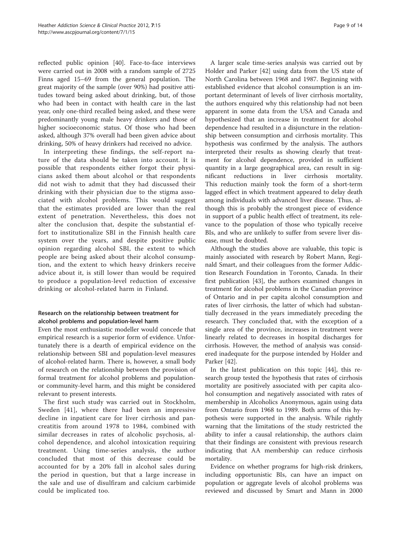reflected public opinion [\[40\]](#page-13-0). Face-to-face interviews were carried out in 2008 with a random sample of 2725 Finns aged 15–69 from the general population. The great majority of the sample (over 90%) had positive attitudes toward being asked about drinking, but, of those who had been in contact with health care in the last year, only one-third recalled being asked, and these were predominantly young male heavy drinkers and those of higher socioeconomic status. Of those who had been asked, although 37% overall had been given advice about drinking, 50% of heavy drinkers had received no advice.

In interpreting these findings, the self-report nature of the data should be taken into account. It is possible that respondents either forgot their physicians asked them about alcohol or that respondents did not wish to admit that they had discussed their drinking with their physician due to the stigma associated with alcohol problems. This would suggest that the estimates provided are lower than the real extent of penetration. Nevertheless, this does not alter the conclusion that, despite the substantial effort to institutionalize SBI in the Finnish health care system over the years, and despite positive public opinion regarding alcohol SBI, the extent to which people are being asked about their alcohol consumption, and the extent to which heavy drinkers receive advice about it, is still lower than would be required to produce a population-level reduction of excessive drinking or alcohol-related harm in Finland.

### Research on the relationship between treatment for alcohol problems and population-level harm

Even the most enthusiastic modeller would concede that empirical research is a superior form of evidence. Unfortunately there is a dearth of empirical evidence on the relationship between SBI and population-level measures of alcohol-related harm. There is, however, a small body of research on the relationship between the provision of formal treatment for alcohol problems and populationor community-level harm, and this might be considered relevant to present interests.

The first such study was carried out in Stockholm, Sweden [[41](#page-13-0)], where there had been an impressive decline in inpatient care for liver cirrhosis and pancreatitis from around 1978 to 1984, combined with similar decreases in rates of alcoholic psychosis, alcohol dependence, and alcohol intoxication requiring treatment. Using time-series analysis, the author concluded that most of this decrease could be accounted for by a 20% fall in alcohol sales during the period in question, but that a large increase in the sale and use of disulfiram and calcium carbimide could be implicated too.

A larger scale time-series analysis was carried out by Holder and Parker [\[42\]](#page-13-0) using data from the US state of North Carolina between 1968 and 1987. Beginning with established evidence that alcohol consumption is an important determinant of levels of liver cirrhosis mortality, the authors enquired why this relationship had not been apparent in some data from the USA and Canada and hypothesized that an increase in treatment for alcohol dependence had resulted in a disjuncture in the relationship between consumption and cirrhosis mortality. This hypothesis was confirmed by the analysis. The authors interpreted their results as showing clearly that treatment for alcohol dependence, provided in sufficient quantity in a large geographical area, can result in significant reductions in liver cirrhosis mortality. This reduction mainly took the form of a short-term lagged effect in which treatment appeared to delay death among individuals with advanced liver disease. Thus, although this is probably the strongest piece of evidence in support of a public health effect of treatment, its relevance to the population of those who typically receive BIs, and who are unlikely to suffer from severe liver disease, must be doubted.

Although the studies above are valuable, this topic is mainly associated with research by Robert Mann, Reginald Smart, and their colleagues from the former Addiction Research Foundation in Toronto, Canada. In their first publication [\[43](#page-13-0)], the authors examined changes in treatment for alcohol problems in the Canadian province of Ontario and in per capita alcohol consumption and rates of liver cirrhosis, the latter of which had substantially decreased in the years immediately preceding the research. They concluded that, with the exception of a single area of the province, increases in treatment were linearly related to decreases in hospital discharges for cirrhosis. However, the method of analysis was considered inadequate for the purpose intended by Holder and Parker [\[42](#page-13-0)].

In the latest publication on this topic [[44](#page-13-0)], this research group tested the hypothesis that rates of cirrhosis mortality are positively associated with per capita alcohol consumption and negatively associated with rates of membership in Alcoholics Anonymous, again using data from Ontario from 1968 to 1989. Both arms of this hypothesis were supported in the analysis. While rightly warning that the limitations of the study restricted the ability to infer a causal relationship, the authors claim that their findings are consistent with previous research indicating that AA membership can reduce cirrhosis mortality.

Evidence on whether programs for high-risk drinkers, including opportunistic BIs, can have an impact on population or aggregate levels of alcohol problems was reviewed and discussed by Smart and Mann in 2000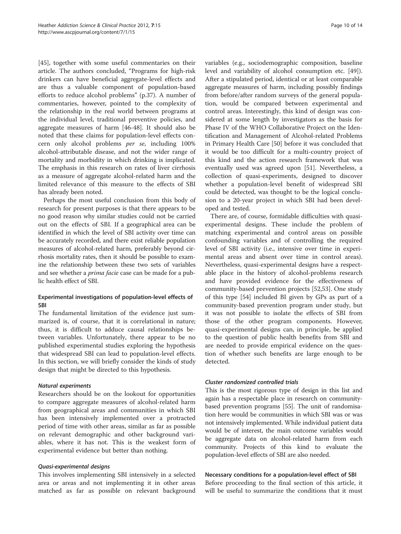[[45\]](#page-13-0), together with some useful commentaries on their article. The authors concluded, "Programs for high-risk drinkers can have beneficial aggregate-level effects and are thus a valuable component of population-based efforts to reduce alcohol problems" (p.37). A number of commentaries, however, pointed to the complexity of the relationship in the real world between programs at the individual level, traditional preventive policies, and aggregate measures of harm [[46](#page-13-0)-[48\]](#page-13-0). It should also be noted that these claims for population-level effects concern only alcohol problems per se, including 100% alcohol-attributable disease, and not the wider range of mortality and morbidity in which drinking is implicated. The emphasis in this research on rates of liver cirrhosis as a measure of aggregate alcohol-related harm and the limited relevance of this measure to the effects of SBI has already been noted.

Perhaps the most useful conclusion from this body of research for present purposes is that there appears to be no good reason why similar studies could not be carried out on the effects of SBI. If a geographical area can be identified in which the level of SBI activity over time can be accurately recorded, and there exist reliable population measures of alcohol-related harm, preferably beyond cirrhosis mortality rates, then it should be possible to examine the relationship between these two sets of variables and see whether a *prima facie* case can be made for a public health effect of SBI.

#### Experimental investigations of population-level effects of SBI

The fundamental limitation of the evidence just summarized is, of course, that it is correlational in nature; thus, it is difficult to adduce causal relationships between variables. Unfortunately, there appear to be no published experimental studies exploring the hypothesis that widespread SBI can lead to population-level effects. In this section, we will briefly consider the kinds of study design that might be directed to this hypothesis.

#### Natural experiments

Researchers should be on the lookout for opportunities to compare aggregate measures of alcohol-related harm from geographical areas and communities in which SBI has been intensively implemented over a protracted period of time with other areas, similar as far as possible on relevant demographic and other background variables, where it has not. This is the weakest form of experimental evidence but better than nothing.

#### Quasi-experimental designs

This involves implementing SBI intensively in a selected area or areas and not implementing it in other areas matched as far as possible on relevant background variables (e.g., sociodemographic composition, baseline level and variability of alcohol consumption etc. [\[49](#page-13-0)]). After a stipulated period, identical or at least comparable aggregate measures of harm, including possibly findings from before/after random surveys of the general population, would be compared between experimental and control areas. Interestingly, this kind of design was considered at some length by investigators as the basis for Phase IV of the WHO Collaborative Project on the Identification and Management of Alcohol-related Problems in Primary Health Care [\[50](#page-13-0)] before it was concluded that it would be too difficult for a multi-country project of this kind and the action research framework that was eventually used was agreed upon [\[51\]](#page-13-0). Nevertheless, a collection of quasi-experiments, designed to discover whether a population-level benefit of widespread SBI could be detected, was thought to be the logical conclusion to a 20-year project in which SBI had been developed and tested.

There are, of course, formidable difficulties with quasiexperimental designs. These include the problem of matching experimental and control areas on possible confounding variables and of controlling the required level of SBI activity (i.e., intensive over time in experimental areas and absent over time in control areas). Nevertheless, quasi-experimental designs have a respectable place in the history of alcohol-problems research and have provided evidence for the effectiveness of community-based prevention projects [\[52,53](#page-13-0)]. One study of this type [\[54\]](#page-13-0) included BI given by GPs as part of a community-based prevention program under study, but it was not possible to isolate the effects of SBI from those of the other program components. However, quasi-experimental designs can, in principle, be applied to the question of public health benefits from SBI and are needed to provide empirical evidence on the question of whether such benefits are large enough to be detected.

#### Cluster randomized controlled trials

This is the most rigorous type of design in this list and again has a respectable place in research on communitybased prevention programs [\[55\]](#page-13-0). The unit of randomisation here would be communities in which SBI was or was not intensively implemented. While individual patient data would be of interest, the main outcome variables would be aggregate data on alcohol-related harm from each community. Projects of this kind to evaluate the population-level effects of SBI are also needed.

#### Necessary conditions for a population-level effect of SBI

Before proceeding to the final section of this article, it will be useful to summarize the conditions that it must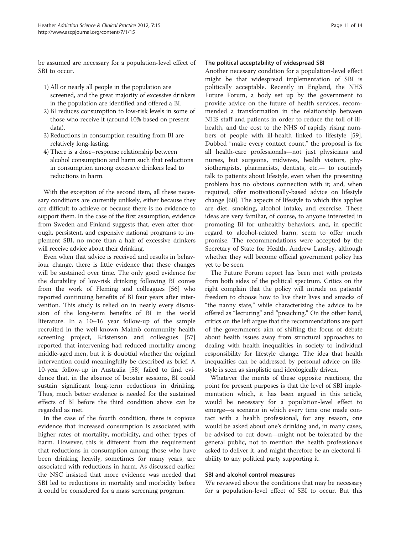be assumed are necessary for a population-level effect of SBI to occur.

- 1) All or nearly all people in the population are screened, and the great majority of excessive drinkers in the population are identified and offered a BI.
- 2) BI reduces consumption to low-risk levels in some of those who receive it (around 10% based on present data).
- 3) Reductions in consumption resulting from BI are relatively long-lasting.
- 4) There is a dose–response relationship between alcohol consumption and harm such that reductions in consumption among excessive drinkers lead to reductions in harm.

With the exception of the second item, all these necessary conditions are currently unlikely, either because they are difficult to achieve or because there is no evidence to support them. In the case of the first assumption, evidence from Sweden and Finland suggests that, even after thorough, persistent, and expensive national programs to implement SBI, no more than a half of excessive drinkers will receive advice about their drinking.

Even when that advice is received and results in behaviour change, there is little evidence that these changes will be sustained over time. The only good evidence for the durability of low-risk drinking following BI comes from the work of Fleming and colleagues [\[56\]](#page-13-0) who reported continuing benefits of BI four years after intervention. This study is relied on in nearly every discussion of the long-term benefits of BI in the world literature. In a 10–16 year follow-up of the sample recruited in the well-known Malmö community health screening project, Kristenson and colleagues [[57](#page-13-0)] reported that intervening had reduced mortality among middle-aged men, but it is doubtful whether the original intervention could meaningfully be described as brief. A 10-year follow-up in Australia [\[58\]](#page-13-0) failed to find evidence that, in the absence of booster sessions, BI could sustain significant long-term reductions in drinking. Thus, much better evidence is needed for the sustained effects of BI before the third condition above can be regarded as met.

In the case of the fourth condition, there is copious evidence that increased consumption is associated with higher rates of mortality, morbidity, and other types of harm. However, this is different from the requirement that reductions in consumption among those who have been drinking heavily, sometimes for many years, are associated with reductions in harm. As discussed earlier, the NSC insisted that more evidence was needed that SBI led to reductions in mortality and morbidity before it could be considered for a mass screening program.

#### The political acceptability of widespread SBI

Another necessary condition for a population-level effect might be that widespread implementation of SBI is politically acceptable. Recently in England, the NHS Future Forum, a body set up by the government to provide advice on the future of health services, recommended a transformation in the relationship between NHS staff and patients in order to reduce the toll of illhealth, and the cost to the NHS of rapidly rising numbers of people with ill-health linked to lifestyle [\[59](#page-13-0)]. Dubbed "make every contact count," the proposal is for all health-care professionals—not just physicians and nurses, but surgeons, midwives, health visitors, physiotherapists, pharmacists, dentists, etc.— to routinely talk to patients about lifestyle, even when the presenting problem has no obvious connection with it; and, when required, offer motivationally-based advice on lifestyle change [[60](#page-13-0)]. The aspects of lifestyle to which this applies are diet, smoking, alcohol intake, and exercise. These ideas are very familiar, of course, to anyone interested in promoting BI for unhealthy behaviors, and, in specific regard to alcohol-related harm, seem to offer much promise. The recommendations were accepted by the Secretary of State for Health, Andrew Lansley, although whether they will become official government policy has yet to be seen.

The Future Forum report has been met with protests from both sides of the political spectrum. Critics on the right complain that the policy will intrude on patients' freedom to choose how to live their lives and smacks of "the nanny state," while characterizing the advice to be offered as "lecturing" and "preaching." On the other hand, critics on the left argue that the recommendations are part of the government's aim of shifting the focus of debate about health issues away from structural approaches to dealing with health inequalities in society to individual responsibility for lifestyle change. The idea that health inequalities can be addressed by personal advice on lifestyle is seen as simplistic and ideologically driven.

Whatever the merits of these opposite reactions, the point for present purposes is that the level of SBI implementation which, it has been argued in this article, would be necessary for a population-level effect to emerge—a scenario in which every time one made contact with a health professional, for any reason, one would be asked about one's drinking and, in many cases, be advised to cut down—might not be tolerated by the general public, not to mention the health professionals asked to deliver it, and might therefore be an electoral liability to any political party supporting it.

#### SBI and alcohol control measures

We reviewed above the conditions that may be necessary for a population-level effect of SBI to occur. But this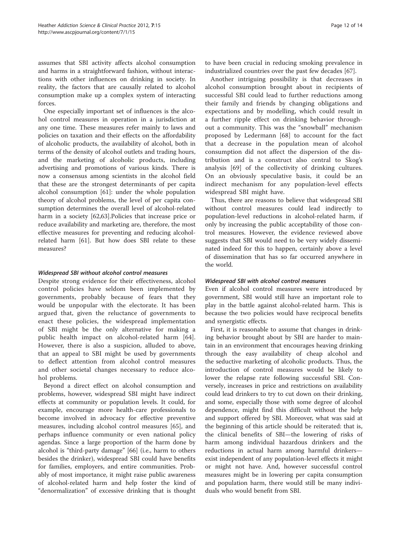<span id="page-12-0"></span>assumes that SBI activity affects alcohol consumption and harms in a straightforward fashion, without interactions with other influences on drinking in society. In reality, the factors that are causally related to alcohol consumption make up a complex system of interacting forces.

One especially important set of influences is the alcohol control measures in operation in a jurisdiction at any one time. These measures refer mainly to laws and policies on taxation and their effects on the affordability of alcoholic products, the availability of alcohol, both in terms of the density of alcohol outlets and trading hours, and the marketing of alcoholic products, including advertising and promotions of various kinds. There is now a consensus among scientists in the alcohol field that these are the strongest determinants of per capita alcohol consumption [\[61\]](#page-13-0): under the whole population theory of alcohol problems, the level of per capita consumption determines the overall level of alcohol-related harm in a society [\[62,63\]](#page-13-0).Policies that increase price or reduce availability and marketing are, therefore, the most effective measures for preventing and reducing alcoholrelated harm [\[61](#page-13-0)]. But how does SBI relate to these measures?

#### Widespread SBI without alcohol control measures

Despite strong evidence for their effectiveness, alcohol control policies have seldom been implemented by governments, probably because of fears that they would be unpopular with the electorate. It has been argued that, given the reluctance of governments to enact these policies, the widespread implementation of SBI might be the only alternative for making a public health impact on alcohol-related harm [[64](#page-13-0)]. However, there is also a suspicion, alluded to above, that an appeal to SBI might be used by governments to deflect attention from alcohol control measures and other societal changes necessary to reduce alcohol problems.

Beyond a direct effect on alcohol consumption and problems, however, widespread SBI might have indirect effects at community or population levels. It could, for example, encourage more health-care professionals to become involved in advocacy for effective preventive measures, including alcohol control measures [\[65\]](#page-13-0), and perhaps influence community or even national policy agendas. Since a large proportion of the harm done by alcohol is "third-party damage" [\[66\]](#page-13-0) (i.e., harm to others besides the drinker), widespread SBI could have benefits for families, employers, and entire communities. Probably of most importance, it might raise public awareness of alcohol-related harm and help foster the kind of "denormalization" of excessive drinking that is thought

to have been crucial in reducing smoking prevalence in industrialized countries over the past few decades [[67\]](#page-13-0).

Another intriguing possibility is that decreases in alcohol consumption brought about in recipients of successful SBI could lead to further reductions among their family and friends by changing obligations and expectations and by modelling, which could result in a further ripple effect on drinking behavior throughout a community. This was the "snowball" mechanism proposed by Ledermann [[68\]](#page-13-0) to account for the fact that a decrease in the population mean of alcohol consumption did not affect the dispersion of the distribution and is a construct also central to Skog's analysis [[69\]](#page-13-0) of the collectivity of drinking cultures. On an obviously speculative basis, it could be an indirect mechanism for any population-level effects widespread SBI might have.

Thus, there are reasons to believe that widespread SBI without control measures could lead indirectly to population-level reductions in alcohol-related harm, if only by increasing the public acceptability of those control measures. However, the evidence reviewed above suggests that SBI would need to be very widely disseminated indeed for this to happen, certainly above a level of dissemination that has so far occurred anywhere in the world.

#### Widespread SBI with alcohol control measures

Even if alcohol control measures were introduced by government, SBI would still have an important role to play in the battle against alcohol-related harm. This is because the two policies would have reciprocal benefits and synergistic effects.

First, it is reasonable to assume that changes in drinking behavior brought about by SBI are harder to maintain in an environment that encourages heaving drinking through the easy availability of cheap alcohol and the seductive marketing of alcoholic products. Thus, the introduction of control measures would be likely to lower the relapse rate following successful SBI. Conversely, increases in price and restrictions on availability could lead drinkers to try to cut down on their drinking, and some, especially those with some degree of alcohol dependence, might find this difficult without the help and support offered by SBI. Moreover, what was said at the beginning of this article should be reiterated: that is, the clinical benefits of SBI—the lowering of risks of harm among individual hazardous drinkers and the reductions in actual harm among harmful drinkers exist independent of any population-level effects it might or might not have. And, however successful control measures might be in lowering per capita consumption and population harm, there would still be many individuals who would benefit from SBI.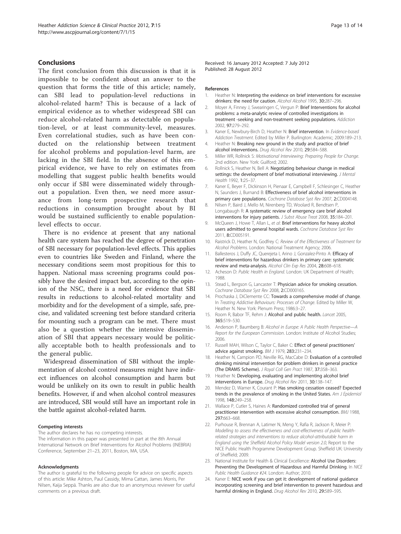#### <span id="page-13-0"></span>Conclusions

The first conclusion from this discussion is that it is impossible to be confident about an answer to the question that forms the title of this article; namely, can SBI lead to population-level reductions in alcohol-related harm? This is because of a lack of empirical evidence as to whether widespread SBI can reduce alcohol-related harm as detectable on population-level, or at least community-level, measures. Even correlational studies, such as have been conducted on the relationship between treatment for alcohol problems and population-level harm, are lacking in the SBI field. In the absence of this empirical evidence, we have to rely on estimates from modelling that suggest public health benefits would only occur if SBI were disseminated widely throughout a population. Even then, we need more assurance from long-term prospective research that reductions in consumption brought about by BI would be sustained sufficiently to enable populationlevel effects to occur.

There is no evidence at present that any national health care system has reached the degree of penetration of SBI necessary for population-level effects. This applies even to countries like Sweden and Finland, where the necessary conditions seem most propitious for this to happen. National mass screening programs could possibly have the desired impact but, according to the opinion of the NSC, there is a need for evidence that SBI results in reductions to alcohol-related mortality and morbidity and for the development of a simple, safe, precise, and validated screening test before standard criteria for mounting such a program can be met. There must also be a question whether the intensive dissemination of SBI that appears necessary would be politically acceptable both to health professionals and to the general public.

Widespread dissemination of SBI without the implementation of alcohol control measures might have indirect influences on alcohol consumption and harm but would be unlikely on its own to result in public health benefits. However, if and when alcohol control measures are introduced, SBI would still have an important role in the battle against alcohol-related harm.

#### Competing interests

The author declares he has no competing interests.

The information in this paper was presented in part at the 8th Annual International Network on Brief Interventions for Alcohol Problems (INEBRIA) Conference, September 21–23, 2011, Boston, MA, USA.

#### Acknowledgments

The author is grateful to the following people for advice on specific aspects of this article: Mike Ashton, Paul Cassidy, Mima Cattan, James Morris, Per Nilsen, Kaija Seppä. Thanks are also due to an anonymous reviewer for useful comments on a previous draft.

Received: 16 January 2012 Accepted: 7 July 2012 Published: 28 August 2012

#### References

- 1. Heather N: Interpreting the evidence on brief interventions for excessive drinkers: the need for caution. *Alcohol Alcohol* 1995, 30:287–296.
- 2. Moyer A, Finney J, Swearingen C, Vergun P: Brief Interventions for alcohol problems: a meta-analytic review of controlled investigations in treatment -seeking and non-treatment seeking populations. *Addiction* 2002, 97:279–292.
- 3. Kaner E, Newbury-Birch D, Heather N: Brief intervention. In *Evidence-based Addiction Treatment*. Edited by Miller P. Burlington: Academic; 2009:189–213.
- Heather N: Breaking new ground in the study and practice of brief alcohol interventions. *Drug Alcohol Rev* 2010, 29:584–588.
- 5. Miller WR, Rollnick S: *Motivational Interviewing: Preparing People for Change*. 2nd edition. New York: Guilford; 2002.
- 6. Rollnick S, Heather N, Bell A: Negotiating behaviour change in medical settings: the development of brief motivational interviewing. *J Mental Health* 1992, 1:25–37.
- 7. Kaner E, Beyer F, Dickinson H, Pienaar E, Campbell F, Schlesinger C, Heather N, Saunders J, Burnand B: Effectiveness of brief alcohol interventions in primary care populations. *Cochrane Database Syst Rev* 2007, 2:CD004148.
- 8. Nilsen P, Baird J, Mello M, Nirenberg TD, Woolard R, Bendtsen P, Longabaugh R: A systematic review of emergency care brief alcohol interventions for injury patients. *J Subst Abuse Treat* 2008, 35:184–201.
- 9. McQueen J, Howe T, Allan L, *et al*: Brief interventions for heavy alcohol users admitted to general hospital wards. *Cochrane Database Syst Rev* 2011, 8:CD005191.
- 10. Raistrick D, Heather N, Godfrey C: *Review of the Effectiveness of Treatment for Alcohol Problems*. London: National Treatment Agency; 2006.
- 11. Ballesteros J, Duffy JC, Querejeta I, Arino J, Gonzalez-Pinto A: Efficacy of brief interventions for hazardous drinkers in primary care: systematic review and meta-analysis. *Alcohol Clin Exp Res* 2004, 28:608–618.
- 12. Acheson D: *Public Health in England*. London: UK Department of Health; 1988.
- 13. Stead L, Bergson G, Lancaster T: Physician advice for smoking cessation. *Cochrane Database Syst Rev* 2008, 2:CD000165.
- 14. Prochaska J, DiClemente CC: Towards a comprehensive model of change. In *Treating Addictive Behaviours: Processes of Change*. Edited by Miller W, Heather N. New York: Plenum Press; 1986:3–27.
- 15. Room R, Babor TF, Rehm J: Alcohol and public health. *Lancet* 2005, 365:519–530.
- 16. Anderson P, Baumberg B: *Alcohol in Europe: A Public Health Perspective*—*A Report for the European Commission*. London: Institute of Alcohol Studies; 2006.
- 17. Russell MAH, Wilson C, Taylor C, Baker C: Effect of general practitioners' advice against smoking. *BM J* 1979, 283:231–234.
- 18. Heather N, Campion PD, Neville RG, MacCabe D: Evaluation of a controlled drinking minimal intervention for problem drinkers in general practice (The DRAMS Scheme). *J Royal Coll Gen Pract* 1987, 37:358–363.
- 19. Heather N: Developing, evaluating and implementing alcohol brief interventions in Europe. *Drug Alcohol Rev* 2011, 30:138–147.
- 20. Mendez D, Warner K, Courant P: Has smoking cessation ceased? Expected trends in the prevalence of smoking in the United States. *Am J Epidemiol* 1998, 148:249–258.
- 21. Wallace P, Cutler S, Haines A: Randomized controlled trial of general practitioner intervention with excessive alcohol consumption. *BMJ* 1988, 297:663–668.
- 22. Purhouse R, Brennan A, Latimer N, Meng Y, Rafia R, Jackson R, Meier P: *Modelling to assess the effectiveness and cost-effectiveness of public healthrelated strategies and interventions to reduce alcohol-attributable harm in England using the Sheffield Alcohol Policy Model version 2.0*, Report to the NICE Public Health Programme Development Group. Sheffield UK: University of Sheffield; 2009.
- 23. National Institute for Health & Clinical Excellence: Alcohol Use Disorders: Preventing the Development of Hazardous and Harmful Drinking. In *NICE Public Health Guidance #24*. London: Author; 2010.
- 24. Kaner E: NICE work if you can get it: development of national guidance incorporating screening and brief intervention to prevent hazardous and harmful drinking in England. *Drug Alcohol Rev* 2010, 29:589–595.